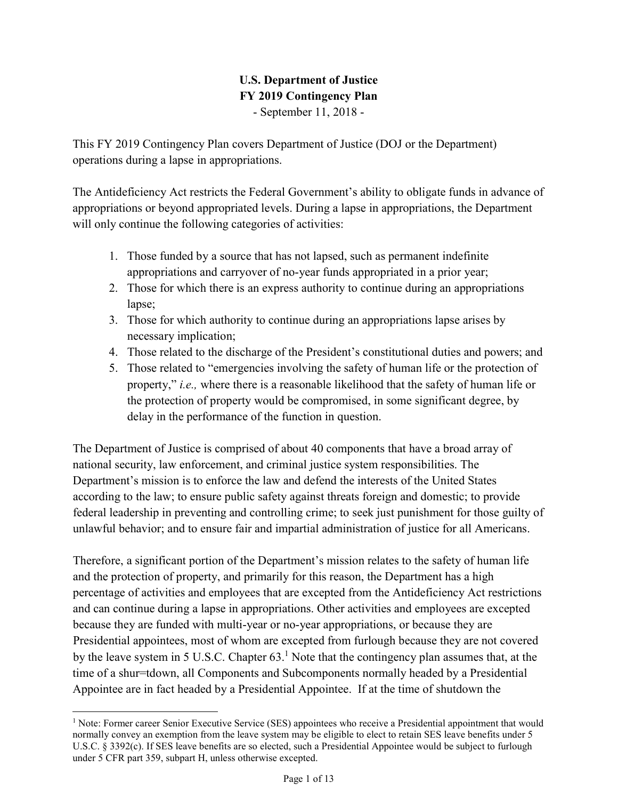# U.S. Department of Justice FY 2019 Contingency Plan - September 11, 2018 -

 This FY 2019 Contingency Plan covers Department of Justice (DOJ or the Department) operations during a lapse in appropriations.

 The Antideficiency Act restricts the Federal Government's ability to obligate funds in advance of appropriations or beyond appropriated levels. During a lapse in appropriations, the Department will only continue the following categories of activities:

- 1. Those funded by a source that has not lapsed, such as permanent indefinite appropriations and carryover of no-year funds appropriated in a prior year;
- 2. Those for which there is an express authority to continue during an appropriations lapse;
- 3. Those for which authority to continue during an appropriations lapse arises by necessary implication;
- 4. Those related to the discharge of the President's constitutional duties and powers; and
- 5. Those related to "emergencies involving the safety of human life or the protection of property," *i.e.*, where there is a reasonable likelihood that the safety of human life or the protection of property would be compromised, in some significant degree, by delay in the performance of the function in question.

 The Department of Justice is comprised of about 40 components that have a broad array of national security, law enforcement, and criminal justice system responsibilities. The Department's mission is to enforce the law and defend the interests of the United States according to the law; to ensure public safety against threats foreign and domestic; to provide federal leadership in preventing and controlling crime; to seek just punishment for those guilty of unlawful behavior; and to ensure fair and impartial administration of justice for all Americans.

 Therefore, a significant portion of the Department's mission relates to the safety of human life and the protection of property, and primarily for this reason, the Department has a high percentage of activities and employees that are excepted from the Antideficiency Act restrictions and can continue during a lapse in appropriations. Other activities and employees are excepted because they are funded with multi-year or no-year appropriations, or because they are Presidential appointees, most of whom are excepted from furlough because they are not covered by the leave system in 5 U.S.C. Chapter  $63<sup>1</sup>$  Note that the contingency plan assumes that, at the time of a shur=tdown, all Components and Subcomponents normally headed by a Presidential Appointee are in fact headed by a Presidential Appointee. If at the time of shutdown the

 $\overline{a}$ 

<sup>&</sup>lt;sup>1</sup> Note: Former career Senior Executive Service (SES) appointees who receive a Presidential appointment that would normally convey an exemption from the leave system may be eligible to elect to retain SES leave benefits under 5 U.S.C. § 3392(c). If SES leave benefits are so elected, such a Presidential Appointee would be subject to furlough under 5 CFR part 359, subpart H, unless otherwise excepted.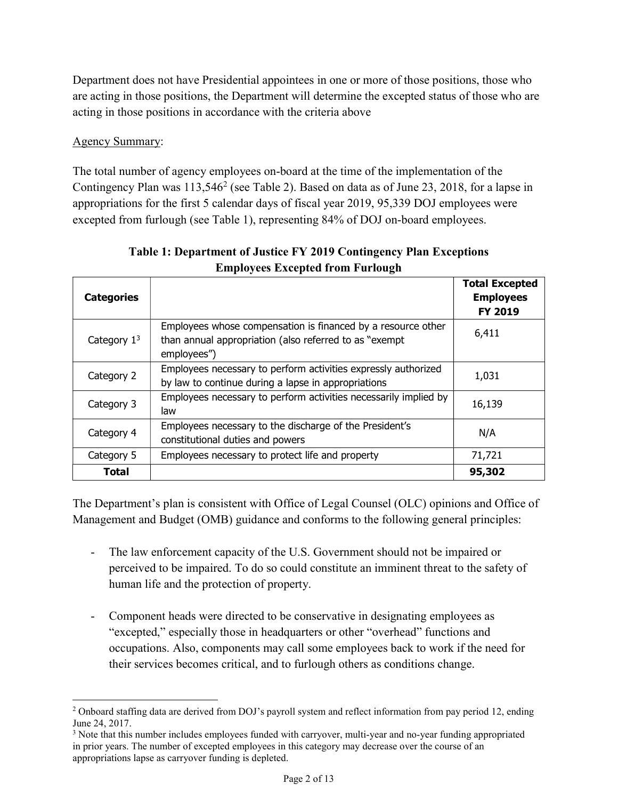Department does not have Presidential appointees in one or more of those positions, those who are acting in those positions, the Department will determine the excepted status of those who are acting in those positions in accordance with the criteria above

### Agency Summary:

l

 The total number of agency employees on-board at the time of the implementation of the Contingency Plan was  $113,546^2$  (see Table 2). Based on data as of June 23, 2018, for a lapse in appropriations for the first 5 calendar days of fiscal year 2019, 95,339 DOJ employees were excepted from furlough (see Table 1), representing 84% of DOJ on-board employees.

| <b>Categories</b> |                                                                                                                                       | <b>Total Excepted</b><br><b>Employees</b><br><b>FY 2019</b> |
|-------------------|---------------------------------------------------------------------------------------------------------------------------------------|-------------------------------------------------------------|
| Category $13$     | Employees whose compensation is financed by a resource other<br>than annual appropriation (also referred to as "exempt<br>employees") | 6,411                                                       |
| Category 2        | Employees necessary to perform activities expressly authorized<br>by law to continue during a lapse in appropriations                 | 1,031                                                       |
| Category 3        | Employees necessary to perform activities necessarily implied by<br>law                                                               | 16,139                                                      |
| Category 4        | Employees necessary to the discharge of the President's<br>constitutional duties and powers                                           | N/A                                                         |
| Category 5        | Employees necessary to protect life and property                                                                                      | 71,721                                                      |
| Total             |                                                                                                                                       | 95,302                                                      |

# Table 1: Department of Justice FY 2019 Contingency Plan Exceptions Employees Excepted from Furlough

 The Department's plan is consistent with Office of Legal Counsel (OLC) opinions and Office of Management and Budget (OMB) guidance and conforms to the following general principles:

- - The law enforcement capacity of the U.S. Government should not be impaired or perceived to be impaired. To do so could constitute an imminent threat to the safety of human life and the protection of property.
- - Component heads were directed to be conservative in designating employees as "excepted," especially those in headquarters or other "overhead" functions and occupations. Also, components may call some employees back to work if the need for their services becomes critical, and to furlough others as conditions change.

 $2$  Onboard staffing data are derived from DOJ's payroll system and reflect information from pay period 12, ending June 24, 2017.

<sup>&</sup>lt;sup>3</sup> Note that this number includes employees funded with carryover, multi-year and no-year funding appropriated in prior years. The number of excepted employees in this category may decrease over the course of an appropriations lapse as carryover funding is depleted.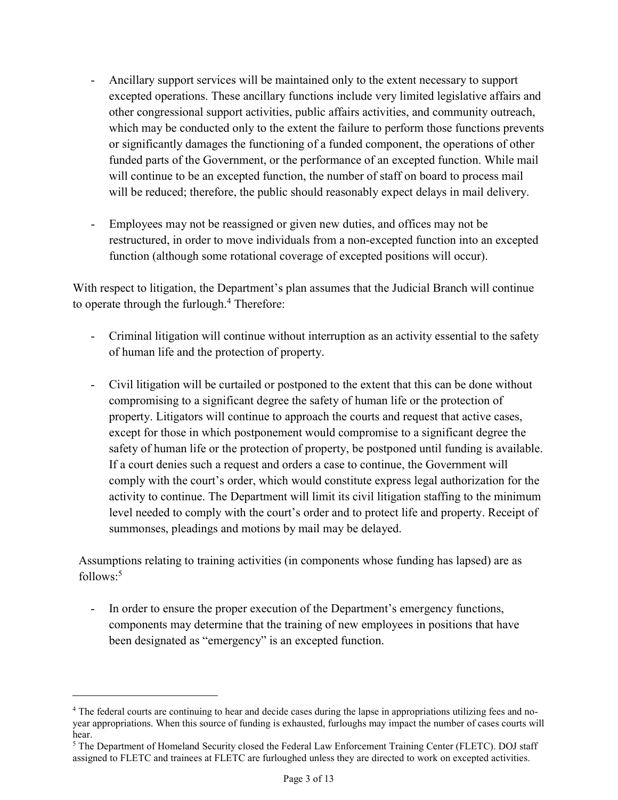- - Ancillary support services will be maintained only to the extent necessary to support excepted operations. These ancillary functions include very limited legislative affairs and other congressional support activities, public affairs activities, and community outreach, which may be conducted only to the extent the failure to perform those functions prevents or significantly damages the functioning of a funded component, the operations of other funded parts of the Government, or the performance of an excepted function. While mail will continue to be an excepted function, the number of staff on board to process mail will be reduced; therefore, the public should reasonably expect delays in mail delivery.
- - Employees may not be reassigned or given new duties, and offices may not be restructured, in order to move individuals from a non-excepted function into an excepted function (although some rotational coverage of excepted positions will occur).

 With respect to litigation, the Department's plan assumes that the Judicial Branch will continue to operate through the furlough.<sup>4</sup> Therefore:

- - Criminal litigation will continue without interruption as an activity essential to the safety of human life and the protection of property.
- - Civil litigation will be curtailed or postponed to the extent that this can be done without compromising to a significant degree the safety of human life or the protection of property. Litigators will continue to approach the courts and request that active cases, except for those in which postponement would compromise to a significant degree the safety of human life or the protection of property, be postponed until funding is available. If a court denies such a request and orders a case to continue, the Government will comply with the court's order, which would constitute express legal authorization for the activity to continue. The Department will limit its civil litigation staffing to the minimum level needed to comply with the court's order and to protect life and property. Receipt of summonses, pleadings and motions by mail may be delayed.

 Assumptions relating to training activities (in components whose funding has lapsed) are as  $follows:<sup>5</sup>$ 

- In order to ensure the proper execution of the Department's emergency functions, components may determine that the training of new employees in positions that have been designated as "emergency" is an excepted function.

 $\overline{a}$ 

<sup>&</sup>lt;sup>4</sup> The federal courts are continuing to hear and decide cases during the lapse in appropriations utilizing fees and no- year appropriations. When this source of funding is exhausted, furloughs may impact the number of cases courts will hear.

<sup>&</sup>lt;sup>5</sup> The Department of Homeland Security closed the Federal Law Enforcement Training Center (FLETC). DOJ staff assigned to FLETC and trainees at FLETC are furloughed unless they are directed to work on excepted activities.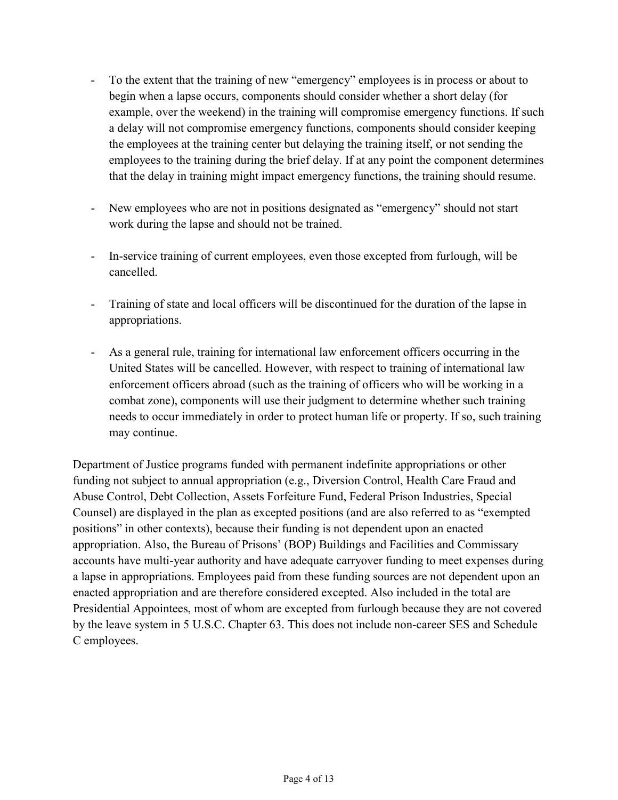- - To the extent that the training of new "emergency" employees is in process or about to begin when a lapse occurs, components should consider whether a short delay (for example, over the weekend) in the training will compromise emergency functions. If such a delay will not compromise emergency functions, components should consider keeping the employees at the training center but delaying the training itself, or not sending the employees to the training during the brief delay. If at any point the component determines that the delay in training might impact emergency functions, the training should resume.
- - New employees who are not in positions designated as "emergency" should not start work during the lapse and should not be trained.
- - In-service training of current employees, even those excepted from furlough, will be cancelled.
- - Training of state and local officers will be discontinued for the duration of the lapse in appropriations.
- - As a general rule, training for international law enforcement officers occurring in the United States will be cancelled. However, with respect to training of international law enforcement officers abroad (such as the training of officers who will be working in a combat zone), components will use their judgment to determine whether such training needs to occur immediately in order to protect human life or property. If so, such training may continue.

 Department of Justice programs funded with permanent indefinite appropriations or other funding not subject to annual appropriation (e.g., Diversion Control, Health Care Fraud and Abuse Control, Debt Collection, Assets Forfeiture Fund, Federal Prison Industries, Special Counsel) are displayed in the plan as excepted positions (and are also referred to as "exempted positions" in other contexts), because their funding is not dependent upon an enacted appropriation. Also, the Bureau of Prisons' (BOP) Buildings and Facilities and Commissary accounts have multi-year authority and have adequate carryover funding to meet expenses during a lapse in appropriations. Employees paid from these funding sources are not dependent upon an enacted appropriation and are therefore considered excepted. Also included in the total are Presidential Appointees, most of whom are excepted from furlough because they are not covered by the leave system in 5 U.S.C. Chapter 63. This does not include non-career SES and Schedule C employees.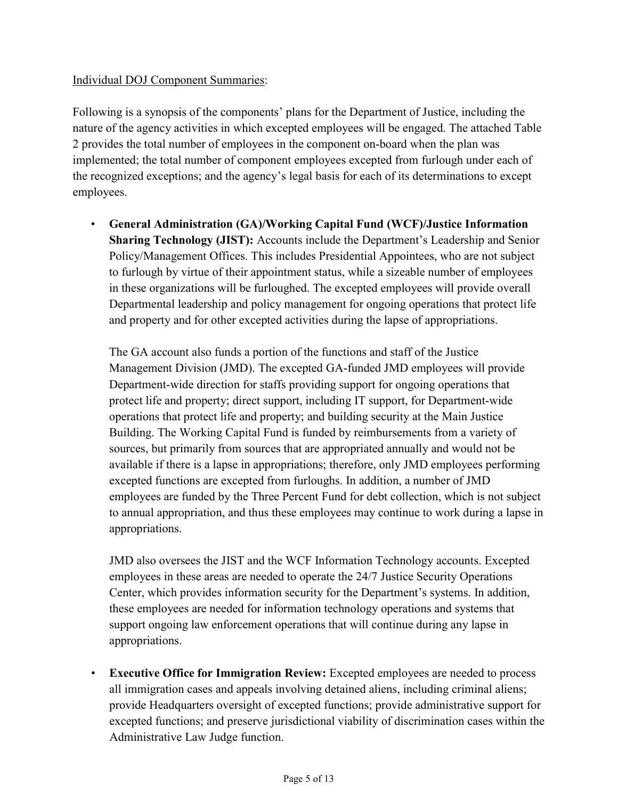#### Individual DOJ Component Summaries:

 Following is a synopsis of the components' plans for the Department of Justice, including the nature of the agency activities in which excepted employees will be engaged. The attached Table 2 provides the total number of employees in the component on-board when the plan was implemented; the total number of component employees excepted from furlough under each of the recognized exceptions; and the agency's legal basis for each of its determinations to except employees.

 • General Administration (GA)/Working Capital Fund (WCF)/Justice Information Sharing Technology (JIST): Accounts include the Department's Leadership and Senior Policy/Management Offices. This includes Presidential Appointees, who are not subject to furlough by virtue of their appointment status, while a sizeable number of employees in these organizations will be furloughed. The excepted employees will provide overall Departmental leadership and policy management for ongoing operations that protect life and property and for other excepted activities during the lapse of appropriations.

 The GA account also funds a portion of the functions and staff of the Justice Management Division (JMD). The excepted GA-funded JMD employees will provide Department-wide direction for staffs providing support for ongoing operations that protect life and property; direct support, including IT support, for Department-wide operations that protect life and property; and building security at the Main Justice Building. The Working Capital Fund is funded by reimbursements from a variety of sources, but primarily from sources that are appropriated annually and would not be available if there is a lapse in appropriations; therefore, only JMD employees performing excepted functions are excepted from furloughs. In addition, a number of JMD employees are funded by the Three Percent Fund for debt collection, which is not subject to annual appropriation, and thus these employees may continue to work during a lapse in appropriations.

 JMD also oversees the JIST and the WCF Information Technology accounts. Excepted employees in these areas are needed to operate the 24/7 Justice Security Operations Center, which provides information security for the Department's systems. In addition, these employees are needed for information technology operations and systems that support ongoing law enforcement operations that will continue during any lapse in appropriations.

 • Executive Office for Immigration Review: Excepted employees are needed to process all immigration cases and appeals involving detained aliens, including criminal aliens; provide Headquarters oversight of excepted functions; provide administrative support for excepted functions; and preserve jurisdictional viability of discrimination cases within the Administrative Law Judge function.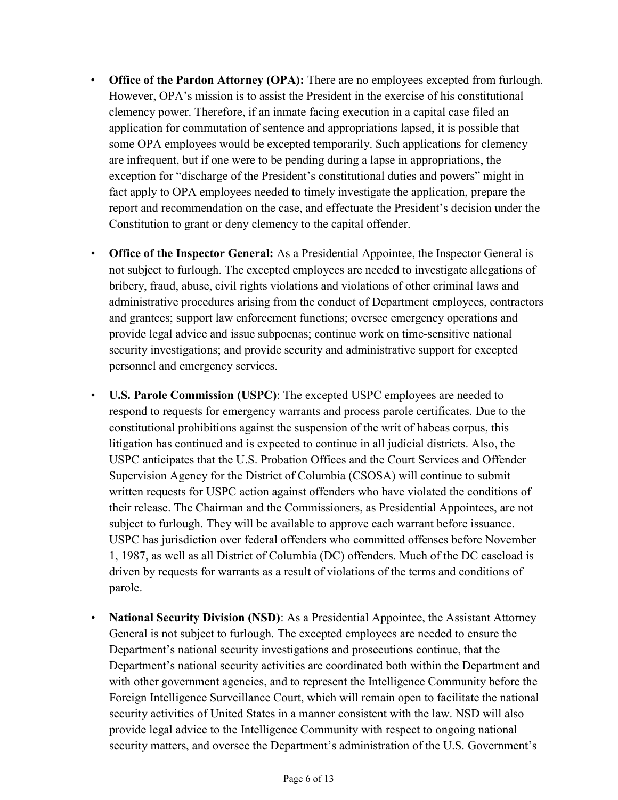- Office of the Pardon Attorney (OPA): There are no employees excepted from furlough. However, OPA's mission is to assist the President in the exercise of his constitutional clemency power. Therefore, if an inmate facing execution in a capital case filed an application for commutation of sentence and appropriations lapsed, it is possible that some OPA employees would be excepted temporarily. Such applications for clemency are infrequent, but if one were to be pending during a lapse in appropriations, the exception for "discharge of the President's constitutional duties and powers" might in fact apply to OPA employees needed to timely investigate the application, prepare the report and recommendation on the case, and effectuate the President's decision under the Constitution to grant or deny clemency to the capital offender.
- Office of the Inspector General: As a Presidential Appointee, the Inspector General is not subject to furlough. The excepted employees are needed to investigate allegations of bribery, fraud, abuse, civil rights violations and violations of other criminal laws and administrative procedures arising from the conduct of Department employees, contractors and grantees; support law enforcement functions; oversee emergency operations and provide legal advice and issue subpoenas; continue work on time-sensitive national security investigations; and provide security and administrative support for excepted personnel and emergency services.
- • U.S. Parole Commission (USPC): The excepted USPC employees are needed to respond to requests for emergency warrants and process parole certificates. Due to the constitutional prohibitions against the suspension of the writ of habeas corpus, this litigation has continued and is expected to continue in all judicial districts. Also, the USPC anticipates that the U.S. Probation Offices and the Court Services and Offender Supervision Agency for the District of Columbia (CSOSA) will continue to submit written requests for USPC action against offenders who have violated the conditions of their release. The Chairman and the Commissioners, as Presidential Appointees, are not USPC has jurisdiction over federal offenders who committed offenses before November 1, 1987, as well as all District of Columbia (DC) offenders. Much of the DC caseload is driven by requests for warrants as a result of violations of the terms and conditions of subject to furlough. They will be available to approve each warrant before issuance. parole.
- National Security Division (NSD): As a Presidential Appointee, the Assistant Attorney General is not subject to furlough. The excepted employees are needed to ensure the Department's national security investigations and prosecutions continue, that the Department's national security activities are coordinated both within the Department and with other government agencies, and to represent the Intelligence Community before the Foreign Intelligence Surveillance Court, which will remain open to facilitate the national security activities of United States in a manner consistent with the law. NSD will also provide legal advice to the Intelligence Community with respect to ongoing national security matters, and oversee the Department's administration of the U.S. Government's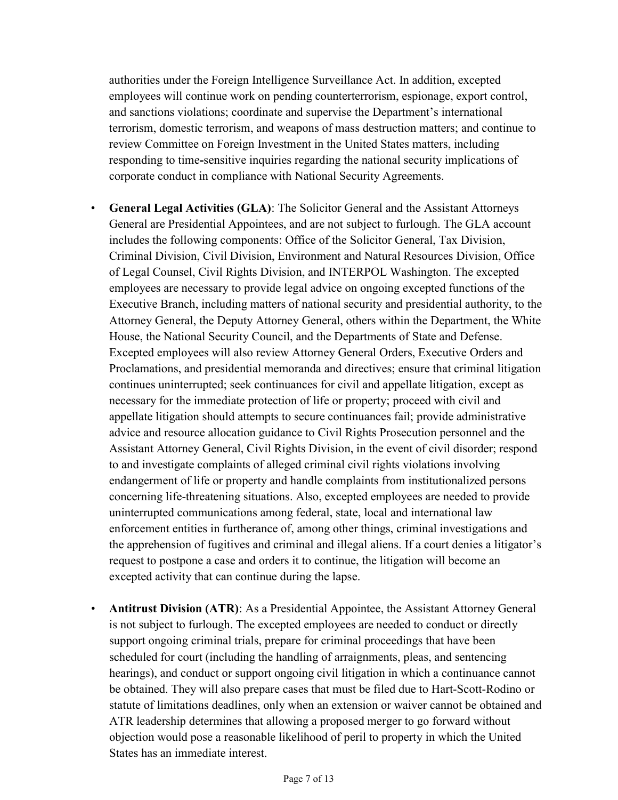authorities under the Foreign Intelligence Surveillance Act. In addition, excepted employees will continue work on pending counterterrorism, espionage, export control, and sanctions violations; coordinate and supervise the Department's international terrorism, domestic terrorism, and weapons of mass destruction matters; and continue to review Committee on Foreign Investment in the United States matters, including responding to time-sensitive inquiries regarding the national security implications of corporate conduct in compliance with National Security Agreements.

- • General Legal Activities (GLA): The Solicitor General and the Assistant Attorneys General are Presidential Appointees, and are not subject to furlough. The GLA account includes the following components: Office of the Solicitor General, Tax Division, Criminal Division, Civil Division, Environment and Natural Resources Division, Office of Legal Counsel, Civil Rights Division, and INTERPOL Washington. The excepted employees are necessary to provide legal advice on ongoing excepted functions of the Executive Branch, including matters of national security and presidential authority, to the Attorney General, the Deputy Attorney General, others within the Department, the White House, the National Security Council, and the Departments of State and Defense. Excepted employees will also review Attorney General Orders, Executive Orders and Proclamations, and presidential memoranda and directives; ensure that criminal litigation continues uninterrupted; seek continuances for civil and appellate litigation, except as necessary for the immediate protection of life or property; proceed with civil and appellate litigation should attempts to secure continuances fail; provide administrative advice and resource allocation guidance to Civil Rights Prosecution personnel and the Assistant Attorney General, Civil Rights Division, in the event of civil disorder; respond to and investigate complaints of alleged criminal civil rights violations involving endangerment of life or property and handle complaints from institutionalized persons concerning life-threatening situations. Also, excepted employees are needed to provide uninterrupted communications among federal, state, local and international law enforcement entities in furtherance of, among other things, criminal investigations and the apprehension of fugitives and criminal and illegal aliens. If a court denies a litigator's request to postpone a case and orders it to continue, the litigation will become an excepted activity that can continue during the lapse.
- Antitrust Division (ATR): As a Presidential Appointee, the Assistant Attorney General is not subject to furlough. The excepted employees are needed to conduct or directly support ongoing criminal trials, prepare for criminal proceedings that have been scheduled for court (including the handling of arraignments, pleas, and sentencing hearings), and conduct or support ongoing civil litigation in which a continuance cannot be obtained. They will also prepare cases that must be filed due to Hart-Scott-Rodino or statute of limitations deadlines, only when an extension or waiver cannot be obtained and ATR leadership determines that allowing a proposed merger to go forward without objection would pose a reasonable likelihood of peril to property in which the United States has an immediate interest.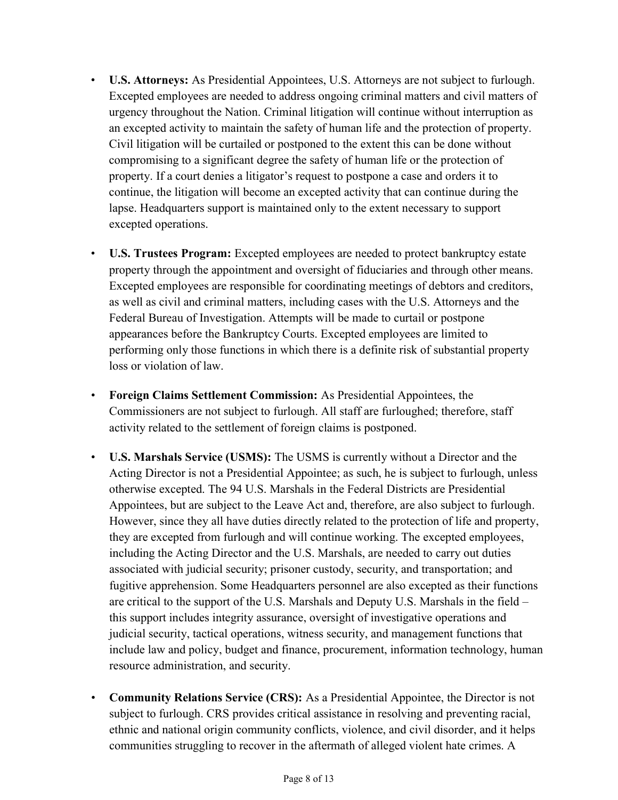- • U.S. Attorneys: As Presidential Appointees, U.S. Attorneys are not subject to furlough. Excepted employees are needed to address ongoing criminal matters and civil matters of urgency throughout the Nation. Criminal litigation will continue without interruption as an excepted activity to maintain the safety of human life and the protection of property. Civil litigation will be curtailed or postponed to the extent this can be done without compromising to a significant degree the safety of human life or the protection of property. If a court denies a litigator's request to postpone a case and orders it to continue, the litigation will become an excepted activity that can continue during the lapse. Headquarters support is maintained only to the extent necessary to support excepted operations.
- • U.S. Trustees Program: Excepted employees are needed to protect bankruptcy estate property through the appointment and oversight of fiduciaries and through other means. Excepted employees are responsible for coordinating meetings of debtors and creditors, as well as civil and criminal matters, including cases with the U.S. Attorneys and the Federal Bureau of Investigation. Attempts will be made to curtail or postpone appearances before the Bankruptcy Courts. Excepted employees are limited to performing only those functions in which there is a definite risk of substantial property loss or violation of law.
- • Foreign Claims Settlement Commission: As Presidential Appointees, the Commissioners are not subject to furlough. All staff are furloughed; therefore, staff activity related to the settlement of foreign claims is postponed.
- • U.S. Marshals Service (USMS): The USMS is currently without a Director and the Acting Director is not a Presidential Appointee; as such, he is subject to furlough, unless otherwise excepted. The 94 U.S. Marshals in the Federal Districts are Presidential Appointees, but are subject to the Leave Act and, therefore, are also subject to furlough. However, since they all have duties directly related to the protection of life and property, they are excepted from furlough and will continue working. The excepted employees, including the Acting Director and the U.S. Marshals, are needed to carry out duties associated with judicial security; prisoner custody, security, and transportation; and fugitive apprehension. Some Headquarters personnel are also excepted as their functions are critical to the support of the U.S. Marshals and Deputy U.S. Marshals in the field – this support includes integrity assurance, oversight of investigative operations and judicial security, tactical operations, witness security, and management functions that include law and policy, budget and finance, procurement, information technology, human resource administration, and security.
- • Community Relations Service (CRS): As a Presidential Appointee, the Director is not subject to furlough. CRS provides critical assistance in resolving and preventing racial, ethnic and national origin community conflicts, violence, and civil disorder, and it helps communities struggling to recover in the aftermath of alleged violent hate crimes. A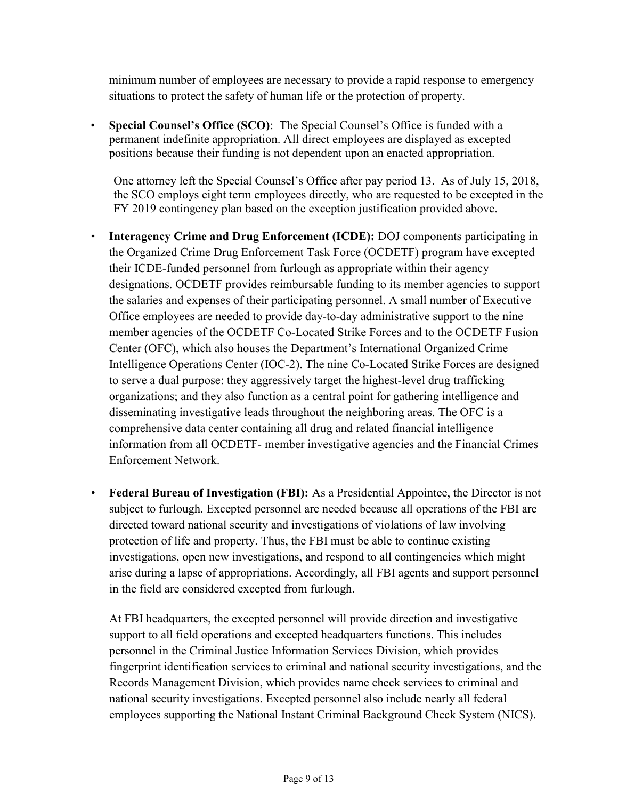minimum number of employees are necessary to provide a rapid response to emergency situations to protect the safety of human life or the protection of property.

• Special Counsel's Office (SCO): The Special Counsel's Office is funded with a permanent indefinite appropriation. All direct employees are displayed as excepted positions because their funding is not dependent upon an enacted appropriation.

 One attorney left the Special Counsel's Office after pay period 13. As of July 15, 2018, the SCO employs eight term employees directly, who are requested to be excepted in the FY 2019 contingency plan based on the exception justification provided above.

- • Interagency Crime and Drug Enforcement (ICDE): DOJ components participating in the Organized Crime Drug Enforcement Task Force (OCDETF) program have excepted their ICDE-funded personnel from furlough as appropriate within their agency designations. OCDETF provides reimbursable funding to its member agencies to support the salaries and expenses of their participating personnel. A small number of Executive Office employees are needed to provide day-to-day administrative support to the nine member agencies of the OCDETF Co-Located Strike Forces and to the OCDETF Fusion Center (OFC), which also houses the Department's International Organized Crime Intelligence Operations Center (IOC-2). The nine Co-Located Strike Forces are designed to serve a dual purpose: they aggressively target the highest-level drug trafficking organizations; and they also function as a central point for gathering intelligence and disseminating investigative leads throughout the neighboring areas. The OFC is a comprehensive data center containing all drug and related financial intelligence information from all OCDETF- member investigative agencies and the Financial Crimes Enforcement Network.
- • Federal Bureau of Investigation (FBI): As a Presidential Appointee, the Director is not subject to furlough. Excepted personnel are needed because all operations of the FBI are directed toward national security and investigations of violations of law involving protection of life and property. Thus, the FBI must be able to continue existing investigations, open new investigations, and respond to all contingencies which might arise during a lapse of appropriations. Accordingly, all FBI agents and support personnel in the field are considered excepted from furlough.

 At FBI headquarters, the excepted personnel will provide direction and investigative support to all field operations and excepted headquarters functions. This includes personnel in the Criminal Justice Information Services Division, which provides fingerprint identification services to criminal and national security investigations, and the Records Management Division, which provides name check services to criminal and national security investigations. Excepted personnel also include nearly all federal employees supporting the National Instant Criminal Background Check System (NICS).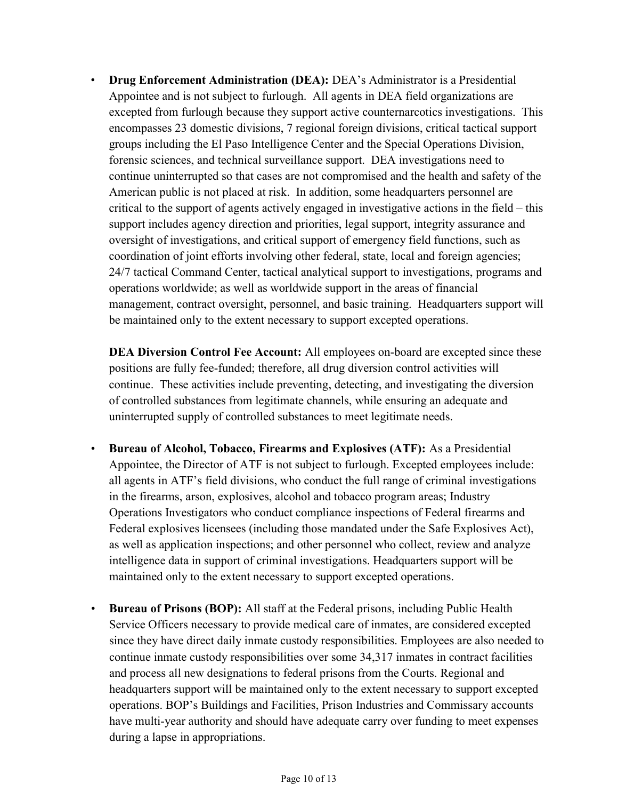• Drug Enforcement Administration (DEA): DEA's Administrator is a Presidential Appointee and is not subject to furlough. All agents in DEA field organizations are excepted from furlough because they support active counternarcotics investigations. This encompasses 23 domestic divisions, 7 regional foreign divisions, critical tactical support groups including the El Paso Intelligence Center and the Special Operations Division, forensic sciences, and technical surveillance support. DEA investigations need to continue uninterrupted so that cases are not compromised and the health and safety of the American public is not placed at risk. In addition, some headquarters personnel are critical to the support of agents actively engaged in investigative actions in the field – this support includes agency direction and priorities, legal support, integrity assurance and oversight of investigations, and critical support of emergency field functions, such as coordination of joint efforts involving other federal, state, local and foreign agencies; 24/7 tactical Command Center, tactical analytical support to investigations, programs and operations worldwide; as well as worldwide support in the areas of financial management, contract oversight, personnel, and basic training. Headquarters support will be maintained only to the extent necessary to support excepted operations.

DEA Diversion Control Fee Account: All employees on-board are excepted since these positions are fully fee-funded; therefore, all drug diversion control activities will continue. These activities include preventing, detecting, and investigating the diversion of controlled substances from legitimate channels, while ensuring an adequate and uninterrupted supply of controlled substances to meet legitimate needs.

- • Bureau of Alcohol, Tobacco, Firearms and Explosives (ATF): As a Presidential Appointee, the Director of ATF is not subject to furlough. Excepted employees include: all agents in ATF's field divisions, who conduct the full range of criminal investigations in the firearms, arson, explosives, alcohol and tobacco program areas; Industry Operations Investigators who conduct compliance inspections of Federal firearms and Federal explosives licensees (including those mandated under the Safe Explosives Act), as well as application inspections; and other personnel who collect, review and analyze intelligence data in support of criminal investigations. Headquarters support will be maintained only to the extent necessary to support excepted operations.
- • Bureau of Prisons (BOP): All staff at the Federal prisons, including Public Health Service Officers necessary to provide medical care of inmates, are considered excepted since they have direct daily inmate custody responsibilities. Employees are also needed to continue inmate custody responsibilities over some 34,317 inmates in contract facilities and process all new designations to federal prisons from the Courts. Regional and headquarters support will be maintained only to the extent necessary to support excepted operations. BOP's Buildings and Facilities, Prison Industries and Commissary accounts have multi-year authority and should have adequate carry over funding to meet expenses during a lapse in appropriations.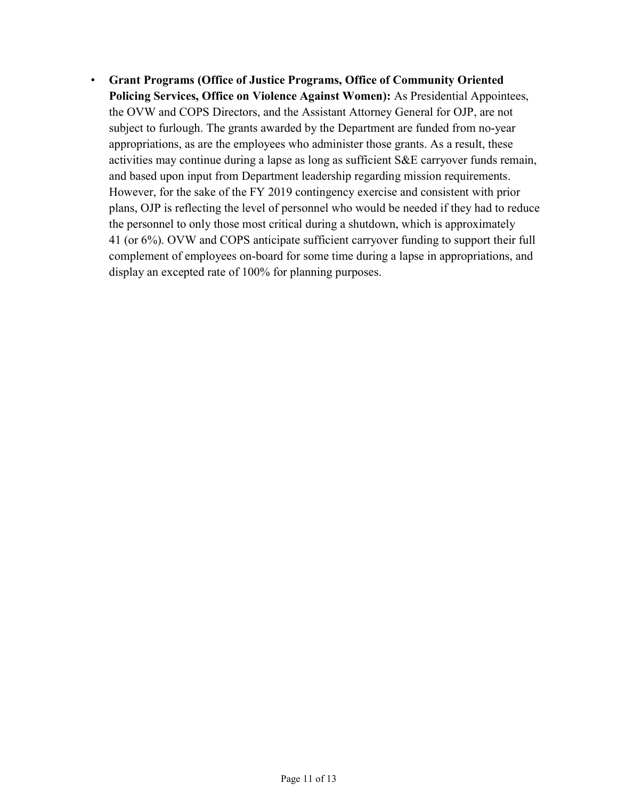• Grant Programs (Office of Justice Programs, Office of Community Oriented Policing Services, Office on Violence Against Women): As Presidential Appointees, the OVW and COPS Directors, and the Assistant Attorney General for OJP, are not subject to furlough. The grants awarded by the Department are funded from no-year appropriations, as are the employees who administer those grants. As a result, these activities may continue during a lapse as long as sufficient S&E carryover funds remain, and based upon input from Department leadership regarding mission requirements. However, for the sake of the FY 2019 contingency exercise and consistent with prior plans, OJP is reflecting the level of personnel who would be needed if they had to reduce the personnel to only those most critical during a shutdown, which is approximately 41 (or 6%). OVW and COPS anticipate sufficient carryover funding to support their full complement of employees on-board for some time during a lapse in appropriations, and display an excepted rate of 100% for planning purposes.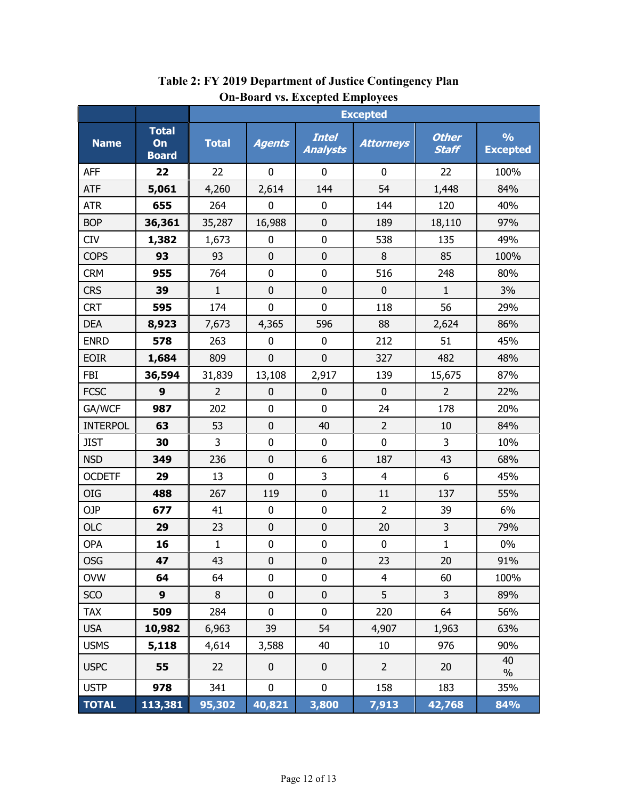|                 |                                    | <b>Excepted</b> |                |                                 |                  |                              |                                  |
|-----------------|------------------------------------|-----------------|----------------|---------------------------------|------------------|------------------------------|----------------------------------|
| <b>Name</b>     | <b>Total</b><br>On<br><b>Board</b> | <b>Total</b>    | <b>Agents</b>  | <b>Intel</b><br><b>Analysts</b> | <b>Attorneys</b> | <b>Other</b><br><b>Staff</b> | $\frac{1}{2}$<br><b>Excepted</b> |
| <b>AFF</b>      | 22                                 | 22              | 0              | $\mathbf 0$                     | 0                | 22                           | 100%                             |
| <b>ATF</b>      | 5,061                              | 4,260           | 2,614          | 144                             | 54               | 1,448                        | 84%                              |
| <b>ATR</b>      | 655                                | 264             | $\mathbf 0$    | $\mathbf 0$                     | 144              | 120                          | 40%                              |
| <b>BOP</b>      | 36,361                             | 35,287          | 16,988         | $\mathbf 0$                     | 189              | 18,110                       | 97%                              |
| <b>CIV</b>      | 1,382                              | 1,673           | $\mathbf 0$    | $\mathbf 0$                     | 538              | 135                          | 49%                              |
| <b>COPS</b>     | 93                                 | 93              | $\mathbf 0$    | 0                               | 8                | 85                           | 100%                             |
| <b>CRM</b>      | 955                                | 764             | 0              | $\pmb{0}$                       | 516              | 248                          | 80%                              |
| <b>CRS</b>      | 39                                 | $\mathbf{1}$    | $\mathbf 0$    | $\mathbf 0$                     | $\mathbf 0$      | $\mathbf{1}$                 | 3%                               |
| <b>CRT</b>      | 595                                | 174             | 0              | 0                               | 118              | 56                           | 29%                              |
| <b>DEA</b>      | 8,923                              | 7,673           | 4,365          | 596                             | 88               | 2,624                        | 86%                              |
| <b>ENRD</b>     | 578                                | 263             | 0              | 0                               | 212              | 51                           | 45%                              |
| <b>EOIR</b>     | 1,684                              | 809             | $\overline{0}$ | $\overline{0}$                  | 327              | 482                          | 48%                              |
| <b>FBI</b>      | 36,594                             | 31,839          | 13,108         | 2,917                           | 139              | 15,675                       | 87%                              |
| <b>FCSC</b>     | 9                                  | $\overline{2}$  | 0              | $\mathbf 0$                     | $\mathbf 0$      | $\overline{2}$               | 22%                              |
| GA/WCF          | 987                                | 202             | 0              | $\mathbf 0$                     | 24               | 178                          | 20%                              |
| <b>INTERPOL</b> | 63                                 | 53              | $\overline{0}$ | 40                              | $\overline{2}$   | 10                           | 84%                              |
| <b>JIST</b>     | 30                                 | 3               | $\mathbf 0$    | 0                               | $\mathbf 0$      | 3                            | 10%                              |
| <b>NSD</b>      | 349                                | 236             | $\mathbf 0$    | 6                               | 187              | 43                           | 68%                              |
| <b>OCDETF</b>   | 29                                 | 13              | 0              | 3                               | $\overline{4}$   | 6                            | 45%                              |
| <b>OIG</b>      | 488                                | 267             | 119            | $\pmb{0}$                       | 11               | 137                          | 55%                              |
| OJP             | 677                                | 41              | 0              | $\pmb{0}$                       | $\overline{2}$   | 39                           | 6%                               |
| <b>OLC</b>      | 29                                 | 23              | $\mathbf 0$    | $\pmb{0}$                       | 20               | 3                            | 79%                              |
| OPA             | 16                                 | $\mathbf{1}$    | $\pmb{0}$      | 0                               | 0                | $\mathbf{1}$                 | 0%                               |
| OSG             | 47                                 | 43              | 0              | 0                               | 23               | 20                           | 91%                              |
| <b>OVW</b>      | 64                                 | 64              | $\mathbf 0$    | $\pmb{0}$                       | $\overline{4}$   | 60                           | 100%                             |
| SCO             | 9                                  | $\, 8$          | $\pmb{0}$      | $\pmb{0}$                       | 5                | 3                            | 89%                              |
| <b>TAX</b>      | 509                                | 284             | $\mathbf 0$    | $\pmb{0}$                       | 220              | 64                           | 56%                              |
| <b>USA</b>      | 10,982                             | 6,963           | 39             | 54                              | 4,907            | 1,963                        | 63%                              |
| <b>USMS</b>     | 5,118                              | 4,614           | 3,588          | 40                              | 10               | 976                          | 90%                              |
| <b>USPC</b>     | 55                                 | 22              | $\pmb{0}$      | $\pmb{0}$                       | $\overline{2}$   | 20                           | 40<br>$\%$                       |
| <b>USTP</b>     | 978                                | 341             | $\mathbf 0$    | $\mathbf 0$                     | 158              | 183                          | 35%                              |
| <b>TOTAL</b>    | 113,381                            | 95,302          | 40,821         | 3,800                           | 7,913            | 42,768                       | 84%                              |

### Table 2: FY 2019 Department of Justice Contingency Plan On-Board vs. Excepted Employees